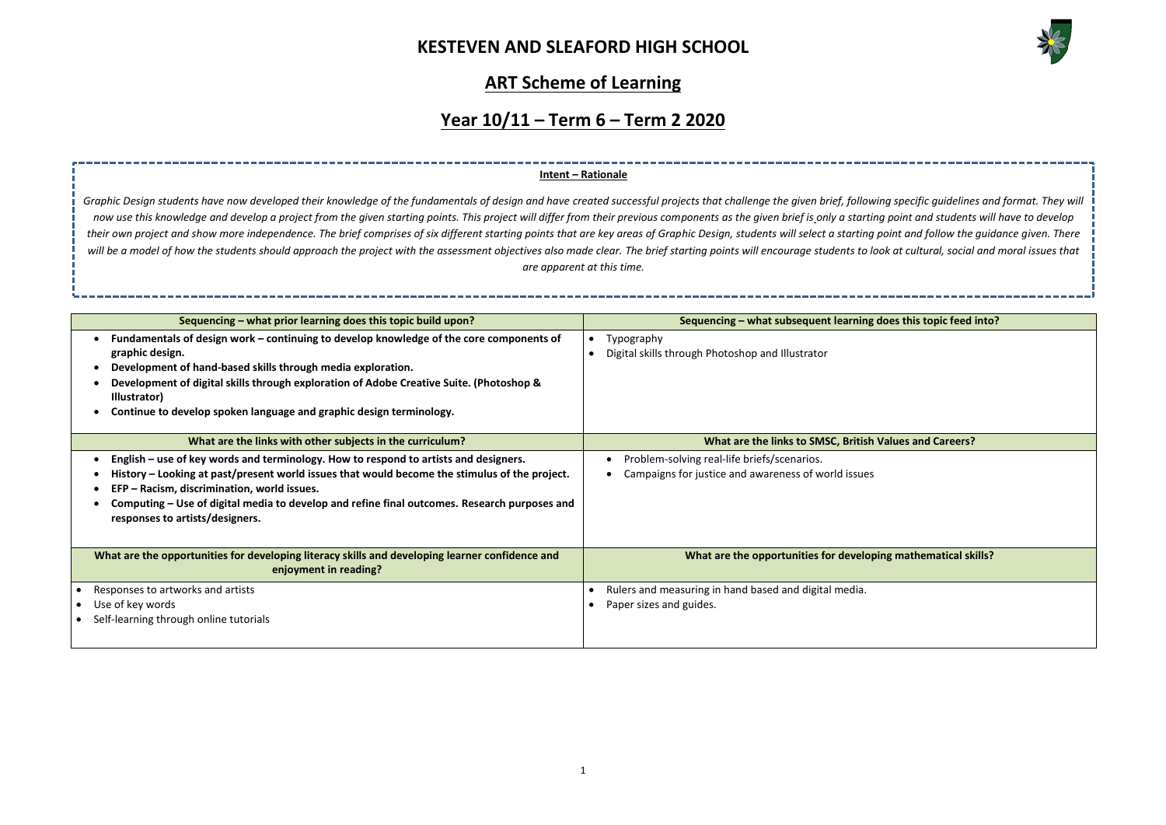

**Joes this topic feed into?** 

**Matues and Careers?** 

**Mathematical skills?** 

## **ART Scheme of Learning**

## **Year 10/11 – Term 6 – Term 2 2020**

| Sequencing – what prior learning does this topic build upon?                                                                                                                                                                                                                                                                                                                 | Sequencing - what subsequent learning d                                                            |
|------------------------------------------------------------------------------------------------------------------------------------------------------------------------------------------------------------------------------------------------------------------------------------------------------------------------------------------------------------------------------|----------------------------------------------------------------------------------------------------|
| Fundamentals of design work – continuing to develop knowledge of the core components of<br>graphic design.<br>Development of hand-based skills through media exploration.<br>Development of digital skills through exploration of Adobe Creative Suite. (Photoshop &<br>Illustrator)<br>Continue to develop spoken language and graphic design terminology.                  | Typography<br>Digital skills through Photoshop and Illustrator                                     |
| What are the links with other subjects in the curriculum?                                                                                                                                                                                                                                                                                                                    | What are the links to SMSC, British V                                                              |
| English – use of key words and terminology. How to respond to artists and designers.<br>History – Looking at past/present world issues that would become the stimulus of the project.<br>EFP - Racism, discrimination, world issues.<br>٠<br>Computing – Use of digital media to develop and refine final outcomes. Research purposes and<br>responses to artists/designers. | Problem-solving real-life briefs/scenarios.<br>Campaigns for justice and awareness of world issues |
| What are the opportunities for developing literacy skills and developing learner confidence and<br>enjoyment in reading?                                                                                                                                                                                                                                                     | What are the opportunities for developing                                                          |
| Responses to artworks and artists<br>Use of key words<br>Self-learning through online tutorials                                                                                                                                                                                                                                                                              | Rulers and measuring in hand based and digital media.<br>Paper sizes and guides.                   |

Graphic Design students have now developed their knowledge of the fundamentals of design and have created successful projects that challenge the given brief, following specific quidelines and format. They will now use this knowledge and develop a project from the given starting points. This project will differ from their previous components as the given brief is only a starting point and students will have to develop *their own project and show more independence. The brief comprises of six different starting points that are key areas of Graphic Design, students will select a starting point and follow the guidance given. There*  will be a model of how the students should approach the project with the assessment objectives also made clear. The brief starting points will encourage students to look at cultural, social and moral issues that *are apparent at this time.* 

#### **Intent – Rationale**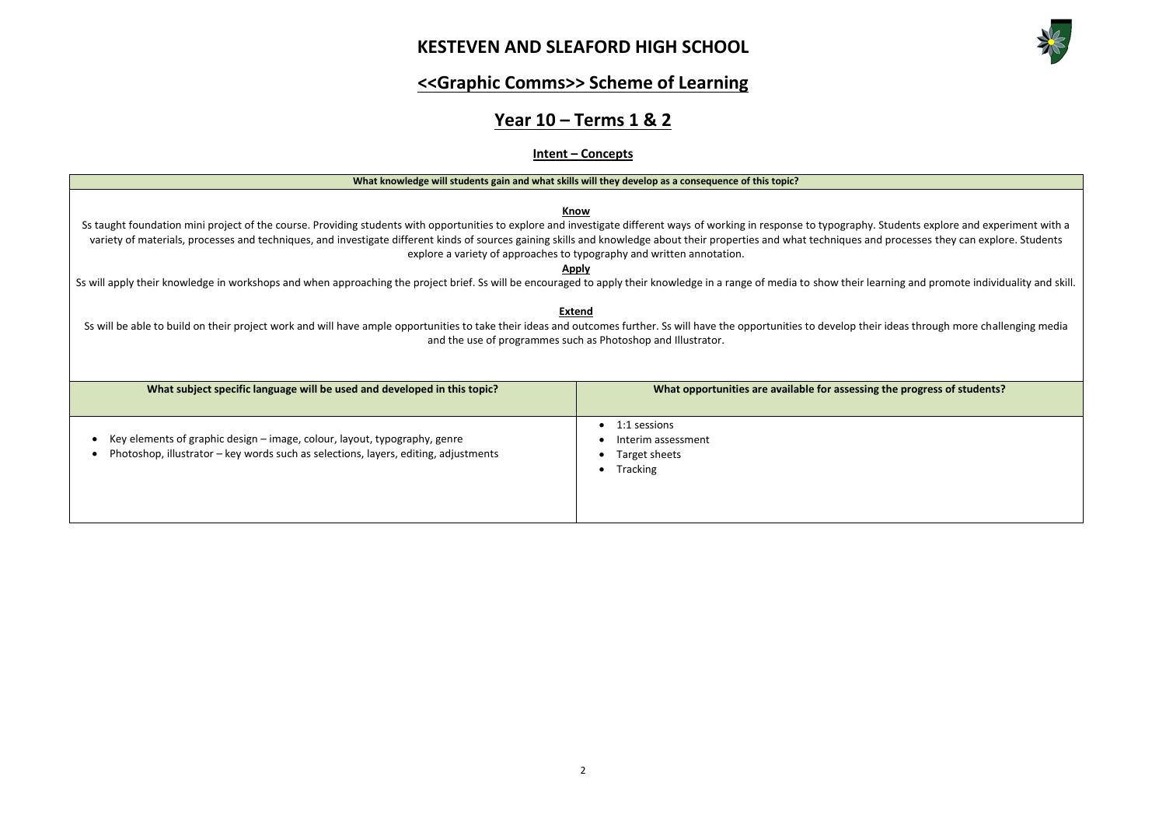#### 2



# **<<Graphic Comms>> Scheme of Learning**

# **Year 10 – Terms 1 & 2**

### **Intent – Concepts**



| What knowledge will students gain and what skills will they develop as a consequence of this topic?                                                                                                                                                                                                                                                                                                                                                                                                                                                                                                                                                                                                                                                                                                                                                                                                             |                                                                 |  |  |
|-----------------------------------------------------------------------------------------------------------------------------------------------------------------------------------------------------------------------------------------------------------------------------------------------------------------------------------------------------------------------------------------------------------------------------------------------------------------------------------------------------------------------------------------------------------------------------------------------------------------------------------------------------------------------------------------------------------------------------------------------------------------------------------------------------------------------------------------------------------------------------------------------------------------|-----------------------------------------------------------------|--|--|
| <b>Know</b><br>Ss taught foundation mini project of the course. Providing students with opportunities to explore and investigate different ways of working in response to typography. Stu<br>variety of materials, processes and techniques, and investigate different kinds of sources gaining skills and knowledge about their properties and what techniques and pi<br>explore a variety of approaches to typography and written annotation.<br><u>Apply</u><br>Ss will apply their knowledge in workshops and when approaching the project brief. Ss will be encouraged to apply their knowledge in a range of media to show their learni<br><b>Extend</b><br>Ss will be able to build on their project work and will have ample opportunities to take their ideas and outcomes further. Ss will have the opportunities to develop their id<br>and the use of programmes such as Photoshop and Illustrator. |                                                                 |  |  |
| What subject specific language will be used and developed in this topic?                                                                                                                                                                                                                                                                                                                                                                                                                                                                                                                                                                                                                                                                                                                                                                                                                                        | What opportunities are available for assessing the              |  |  |
| Key elements of graphic design - image, colour, layout, typography, genre<br>Photoshop, illustrator – key words such as selections, layers, editing, adjustments                                                                                                                                                                                                                                                                                                                                                                                                                                                                                                                                                                                                                                                                                                                                                | 1:1 sessions<br>Interim assessment<br>Target sheets<br>Tracking |  |  |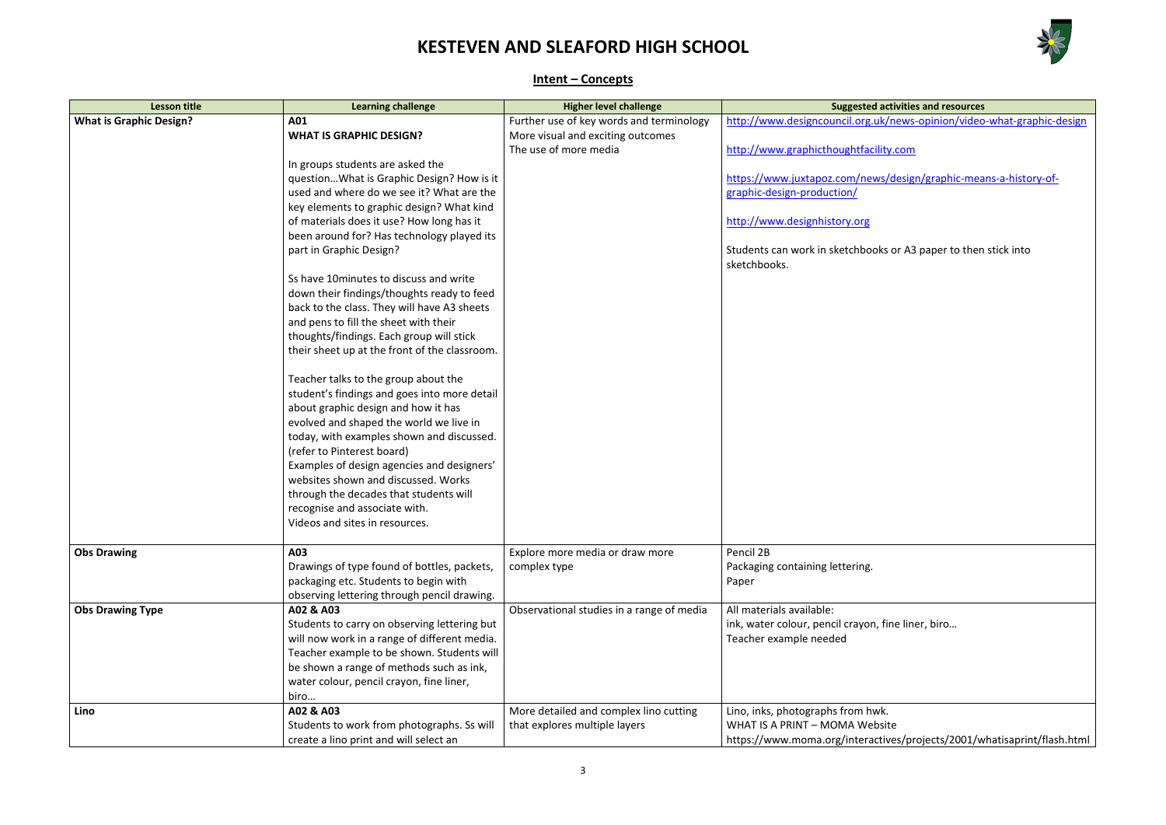

**Learning Challenge Exercise 1** 

</news-opinion/video-what-graphic-design

ity.com

s/design/graphic-means-a-history-of-

ks or A3 paper to then stick into

fine liner, biro...

site tives/projects/2001/whatisaprint/flash.html

### **Intent – Concepts**

| <b>Lesson title</b>            | <b>Learning challenge</b>                     | <b>Higher level challenge</b>             | <b>Suggested ad</b>                              |
|--------------------------------|-----------------------------------------------|-------------------------------------------|--------------------------------------------------|
| <b>What is Graphic Design?</b> | A01                                           | Further use of key words and terminology  | http://www.designcouncil.org.uk/                 |
|                                | <b>WHAT IS GRAPHIC DESIGN?</b>                | More visual and exciting outcomes         |                                                  |
|                                |                                               | The use of more media                     | http://www.graphicthoughtfacility                |
|                                | In groups students are asked the              |                                           |                                                  |
|                                | question What is Graphic Design? How is it    |                                           | https://www.juxtapoz.com/news/                   |
|                                | used and where do we see it? What are the     |                                           | graphic-design-production/                       |
|                                | key elements to graphic design? What kind     |                                           |                                                  |
|                                | of materials does it use? How long has it     |                                           | http://www.designhistory.org                     |
|                                | been around for? Has technology played its    |                                           |                                                  |
|                                | part in Graphic Design?                       |                                           | Students can work in sketchbooks<br>sketchbooks. |
|                                | Ss have 10 minutes to discuss and write       |                                           |                                                  |
|                                | down their findings/thoughts ready to feed    |                                           |                                                  |
|                                | back to the class. They will have A3 sheets   |                                           |                                                  |
|                                | and pens to fill the sheet with their         |                                           |                                                  |
|                                | thoughts/findings. Each group will stick      |                                           |                                                  |
|                                | their sheet up at the front of the classroom. |                                           |                                                  |
|                                | Teacher talks to the group about the          |                                           |                                                  |
|                                | student's findings and goes into more detail  |                                           |                                                  |
|                                | about graphic design and how it has           |                                           |                                                  |
|                                | evolved and shaped the world we live in       |                                           |                                                  |
|                                | today, with examples shown and discussed.     |                                           |                                                  |
|                                | (refer to Pinterest board)                    |                                           |                                                  |
|                                | Examples of design agencies and designers'    |                                           |                                                  |
|                                | websites shown and discussed. Works           |                                           |                                                  |
|                                | through the decades that students will        |                                           |                                                  |
|                                | recognise and associate with.                 |                                           |                                                  |
|                                | Videos and sites in resources.                |                                           |                                                  |
| <b>Obs Drawing</b>             | A03                                           | Explore more media or draw more           | Pencil 2B                                        |
|                                | Drawings of type found of bottles, packets,   | complex type                              | Packaging containing lettering.                  |
|                                | packaging etc. Students to begin with         |                                           | Paper                                            |
|                                | observing lettering through pencil drawing.   |                                           |                                                  |
| <b>Obs Drawing Type</b>        | A02 & A03                                     | Observational studies in a range of media | All materials available:                         |
|                                | Students to carry on observing lettering but  |                                           | ink, water colour, pencil crayon, fi             |
|                                | will now work in a range of different media.  |                                           | Teacher example needed                           |
|                                | Teacher example to be shown. Students will    |                                           |                                                  |
|                                | be shown a range of methods such as ink,      |                                           |                                                  |
|                                | water colour, pencil crayon, fine liner,      |                                           |                                                  |
|                                | biro                                          |                                           |                                                  |
| Lino                           | A02 & A03                                     | More detailed and complex lino cutting    | Lino, inks, photographs from hwk.                |
|                                | Students to work from photographs. Ss will    | that explores multiple layers             | WHAT IS A PRINT - MOMA Websit                    |
|                                | create a lino print and will select an        |                                           | https://www.moma.org/interactiv                  |